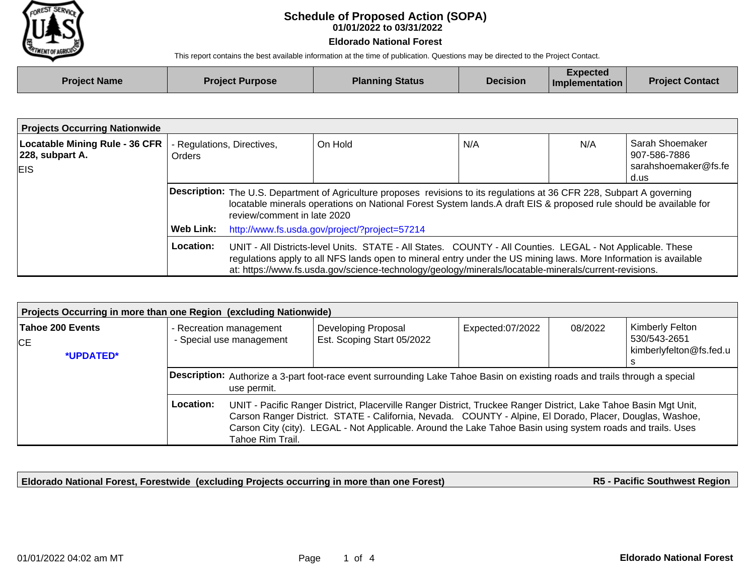

## **01/01/2022 to 03/31/2022 Schedule of Proposed Action (SOPA)**

## **Eldorado National Forest**

This report contains the best available information at the time of publication. Questions may be directed to the Project Contact.

| <b>Project Name</b> | <b>Project Purpose</b> | <b>Planning Status</b> | <b>Decision</b> | <b>Expected</b><br>$\blacksquare$ Implementation | <b>Project Contact</b> |
|---------------------|------------------------|------------------------|-----------------|--------------------------------------------------|------------------------|
|                     |                        |                        |                 |                                                  |                        |

| <b>Projects Occurring Nationwide</b>                                   |                                             |                                                                                                                                                                                                                                                                                                                                                                                          |         |     |     |                                                                 |  |
|------------------------------------------------------------------------|---------------------------------------------|------------------------------------------------------------------------------------------------------------------------------------------------------------------------------------------------------------------------------------------------------------------------------------------------------------------------------------------------------------------------------------------|---------|-----|-----|-----------------------------------------------------------------|--|
| <b>Locatable Mining Rule - 36 CFR</b><br>228, subpart A.<br><b>EIS</b> | - Regulations, Directives,<br><b>Orders</b> |                                                                                                                                                                                                                                                                                                                                                                                          | On Hold | N/A | N/A | Sarah Shoemaker<br>907-586-7886<br>sarahshoemaker@fs.fe<br>d.us |  |
|                                                                        |                                             | Description: The U.S. Department of Agriculture proposes revisions to its regulations at 36 CFR 228, Subpart A governing<br>locatable minerals operations on National Forest System lands. A draft EIS & proposed rule should be available for<br>review/comment in late 2020                                                                                                            |         |     |     |                                                                 |  |
|                                                                        | Web Link:                                   | http://www.fs.usda.gov/project/?project=57214<br>UNIT - All Districts-level Units. STATE - All States. COUNTY - All Counties. LEGAL - Not Applicable. These<br>regulations apply to all NFS lands open to mineral entry under the US mining laws. More Information is available<br>at: https://www.fs.usda.gov/science-technology/geology/minerals/locatable-minerals/current-revisions. |         |     |     |                                                                 |  |
|                                                                        | Location:                                   |                                                                                                                                                                                                                                                                                                                                                                                          |         |     |     |                                                                 |  |

| Projects Occurring in more than one Region (excluding Nationwide) |                                                                                                                                                                                                                                                                                                                                                                              |                                                     |                                                   |                  |         |                                                            |  |  |
|-------------------------------------------------------------------|------------------------------------------------------------------------------------------------------------------------------------------------------------------------------------------------------------------------------------------------------------------------------------------------------------------------------------------------------------------------------|-----------------------------------------------------|---------------------------------------------------|------------------|---------|------------------------------------------------------------|--|--|
| Tahoe 200 Events<br>CE.<br>*UPDATED*                              |                                                                                                                                                                                                                                                                                                                                                                              | - Recreation management<br>- Special use management | Developing Proposal<br>Est. Scoping Start 05/2022 | Expected:07/2022 | 08/2022 | Kimberly Felton<br>530/543-2651<br>kimberlyfelton@fs.fed.u |  |  |
|                                                                   | Description: Authorize a 3-part foot-race event surrounding Lake Tahoe Basin on existing roads and trails through a special<br>use permit.                                                                                                                                                                                                                                   |                                                     |                                                   |                  |         |                                                            |  |  |
|                                                                   | Location:<br>UNIT - Pacific Ranger District, Placerville Ranger District, Truckee Ranger District, Lake Tahoe Basin Mgt Unit,<br>Carson Ranger District. STATE - California, Nevada. COUNTY - Alpine, El Dorado, Placer, Douglas, Washoe,<br>Carson City (city). LEGAL - Not Applicable. Around the Lake Tahoe Basin using system roads and trails. Uses<br>Tahoe Rim Trail. |                                                     |                                                   |                  |         |                                                            |  |  |

**Eldorado National Forest, Forestwide (excluding Projects occurring in more than one Forest)**

**R5 - Pacific Southwest Region**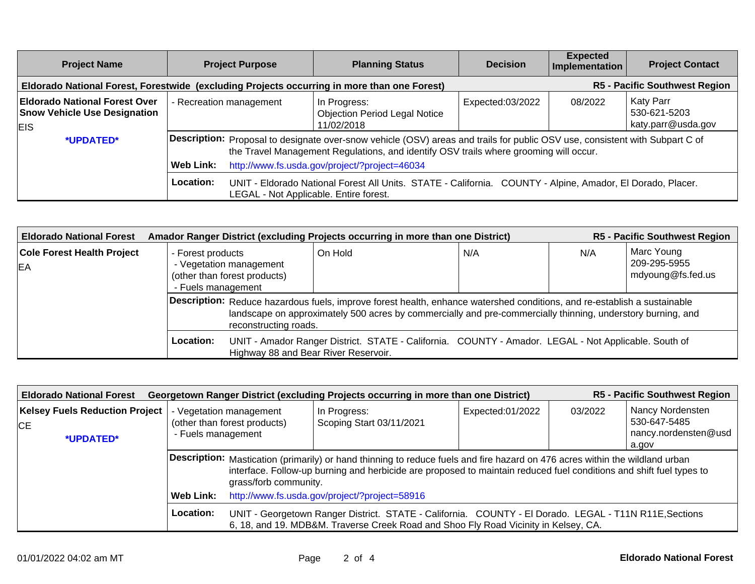| <b>Project Name</b>                                                                         | <b>Project Purpose</b>  | <b>Planning Status</b>                                                                                                                                                                                                                                                 | <b>Decision</b>  | <b>Expected</b><br>Implementation | <b>Project Contact</b>                                 |
|---------------------------------------------------------------------------------------------|-------------------------|------------------------------------------------------------------------------------------------------------------------------------------------------------------------------------------------------------------------------------------------------------------------|------------------|-----------------------------------|--------------------------------------------------------|
| Eldorado National Forest, Forestwide (excluding Projects occurring in more than one Forest) |                         |                                                                                                                                                                                                                                                                        |                  |                                   | <b>R5 - Pacific Southwest Region</b>                   |
| <b>Eldorado National Forest Over</b><br><b>Snow Vehicle Use Designation</b><br><b>EIS</b>   | - Recreation management | In Progress:<br><b>Objection Period Legal Notice</b><br>11/02/2018                                                                                                                                                                                                     | Expected:03/2022 | 08/2022                           | <b>Katy Parr</b><br>530-621-5203<br>katy.parr@usda.gov |
| *UPDATED*                                                                                   | Web Link:               | Description: Proposal to designate over-snow vehicle (OSV) areas and trails for public OSV use, consistent with Subpart C of<br>the Travel Management Regulations, and identify OSV trails where grooming will occur.<br>http://www.fs.usda.gov/project/?project=46034 |                  |                                   |                                                        |
|                                                                                             | Location:               | UNIT - Eldorado National Forest All Units. STATE - California. COUNTY - Alpine, Amador, El Dorado, Placer.<br>LEGAL - Not Applicable. Entire forest.                                                                                                                   |                  |                                   |                                                        |

| <b>Eldorado National Forest</b>                 |                                         |                                                                                                                                                                                                                                                                  | Amador Ranger District (excluding Projects occurring in more than one District) |                                                                                                      |     | <b>R5 - Pacific Southwest Region</b>            |
|-------------------------------------------------|-----------------------------------------|------------------------------------------------------------------------------------------------------------------------------------------------------------------------------------------------------------------------------------------------------------------|---------------------------------------------------------------------------------|------------------------------------------------------------------------------------------------------|-----|-------------------------------------------------|
| <b>Cole Forest Health Project</b><br><b>IEA</b> | - Forest products<br>- Fuels management | - Vegetation management<br>(other than forest products)                                                                                                                                                                                                          | On Hold                                                                         | N/A                                                                                                  | N/A | Marc Young<br>209-295-5955<br>mdyoung@fs.fed.us |
|                                                 |                                         | Description: Reduce hazardous fuels, improve forest health, enhance watershed conditions, and re-establish a sustainable<br>landscape on approximately 500 acres by commercially and pre-commercially thinning, understory burning, and<br>reconstructing roads. |                                                                                 |                                                                                                      |     |                                                 |
|                                                 | Location:                               |                                                                                                                                                                                                                                                                  | Highway 88 and Bear River Reservoir.                                            | UNIT - Amador Ranger District. STATE - California. COUNTY - Amador. LEGAL - Not Applicable. South of |     |                                                 |

| <b>R5 - Pacific Southwest Region</b><br>Georgetown Ranger District (excluding Projects occurring in more than one District)<br><b>Eldorado National Forest</b> |                                                            |                                                                                                                                                                                                                                                                              |                                          |                  |         |                                                                   |  |
|----------------------------------------------------------------------------------------------------------------------------------------------------------------|------------------------------------------------------------|------------------------------------------------------------------------------------------------------------------------------------------------------------------------------------------------------------------------------------------------------------------------------|------------------------------------------|------------------|---------|-------------------------------------------------------------------|--|
| <b>Kelsey Fuels Reduction Project</b><br><b>CE</b><br>*UPDATED*                                                                                                | - Fuels management                                         | - Vegetation management<br>(other than forest products)                                                                                                                                                                                                                      | In Progress:<br>Scoping Start 03/11/2021 | Expected:01/2022 | 03/2022 | Nancy Nordensten<br>530-647-5485<br>nancy.nordensten@usd<br>a.gov |  |
|                                                                                                                                                                |                                                            | Description: Mastication (primarily) or hand thinning to reduce fuels and fire hazard on 476 acres within the wildland urban<br>interface. Follow-up burning and herbicide are proposed to maintain reduced fuel conditions and shift fuel types to<br>grass/forb community. |                                          |                  |         |                                                                   |  |
|                                                                                                                                                                | http://www.fs.usda.gov/project/?project=58916<br>Web Link: |                                                                                                                                                                                                                                                                              |                                          |                  |         |                                                                   |  |
|                                                                                                                                                                | Location:                                                  | UNIT - Georgetown Ranger District. STATE - California. COUNTY - El Dorado. LEGAL - T11N R11E, Sections<br>6, 18, and 19. MDB&M. Traverse Creek Road and Shoo Fly Road Vicinity in Kelsey, CA.                                                                                |                                          |                  |         |                                                                   |  |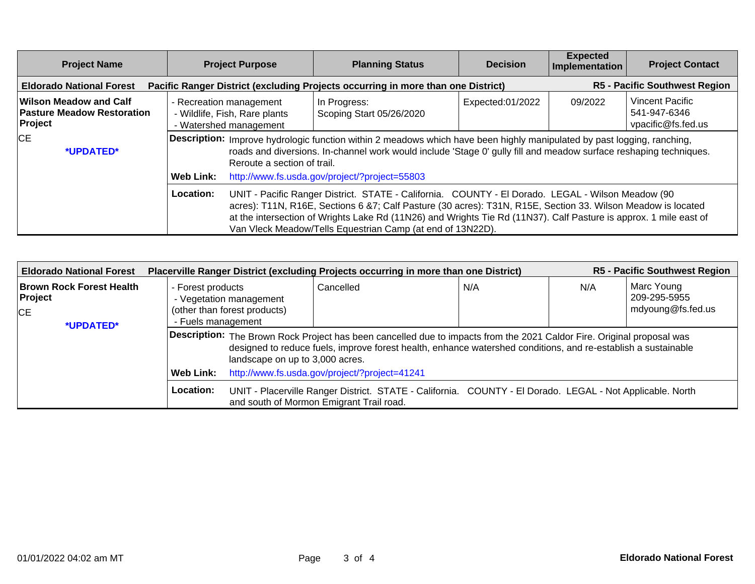| <b>Project Name</b>                                                                                                 | <b>Project Purpose</b>                                                                                                                                                                                                                                                                                                                           | <b>Planning Status</b>                                                                                                                                                                                                                                                                                                                                                                               | <b>Decision</b>  | <b>Expected</b><br>Implementation | <b>Project Contact</b>                                       |
|---------------------------------------------------------------------------------------------------------------------|--------------------------------------------------------------------------------------------------------------------------------------------------------------------------------------------------------------------------------------------------------------------------------------------------------------------------------------------------|------------------------------------------------------------------------------------------------------------------------------------------------------------------------------------------------------------------------------------------------------------------------------------------------------------------------------------------------------------------------------------------------------|------------------|-----------------------------------|--------------------------------------------------------------|
| Pacific Ranger District (excluding Projects occurring in more than one District)<br><b>Eldorado National Forest</b> |                                                                                                                                                                                                                                                                                                                                                  |                                                                                                                                                                                                                                                                                                                                                                                                      |                  |                                   | <b>R5 - Pacific Southwest Region</b>                         |
| Wilson Meadow and Calf<br><b>Pasture Meadow Restoration</b><br>Project                                              | - Recreation management<br>- Wildlife, Fish, Rare plants<br>- Watershed management                                                                                                                                                                                                                                                               | In Progress:<br>Scoping Start 05/26/2020                                                                                                                                                                                                                                                                                                                                                             | Expected:01/2022 | 09/2022                           | <b>Vincent Pacific</b><br>541-947-6346<br>vpacific@fs.fed.us |
| <b>CE</b><br>*UPDATED*                                                                                              | Description: Improve hydrologic function within 2 meadows which have been highly manipulated by past logging, ranching,<br>roads and diversions. In-channel work would include 'Stage 0' gully fill and meadow surface reshaping techniques.<br>Reroute a section of trail.<br>http://www.fs.usda.gov/project/?project=55803<br><b>Web Link:</b> |                                                                                                                                                                                                                                                                                                                                                                                                      |                  |                                   |                                                              |
|                                                                                                                     | Location:                                                                                                                                                                                                                                                                                                                                        | UNIT - Pacific Ranger District. STATE - California. COUNTY - El Dorado. LEGAL - Wilson Meadow (90<br>acres): T11N, R16E, Sections 6 &7; Calf Pasture (30 acres): T31N, R15E, Section 33. Wilson Meadow is located<br>at the intersection of Wrights Lake Rd (11N26) and Wrights Tie Rd (11N37). Calf Pasture is approx. 1 mile east of<br>Van Vleck Meadow/Tells Equestrian Camp (at end of 13N22D). |                  |                                   |                                                              |

| <b>Eldorado National Forest</b>                                      | Placerville Ranger District (excluding Projects occurring in more than one District)               |                                                                                                                                                                                                                                                                            |     |     | <b>R5 - Pacific Southwest Region</b>            |  |  |
|----------------------------------------------------------------------|----------------------------------------------------------------------------------------------------|----------------------------------------------------------------------------------------------------------------------------------------------------------------------------------------------------------------------------------------------------------------------------|-----|-----|-------------------------------------------------|--|--|
| <b>Brown Rock Forest Health</b><br>Project<br><b>CE</b><br>*UPDATED* | - Forest products<br>- Vegetation management<br>(other than forest products)<br>- Fuels management | Cancelled                                                                                                                                                                                                                                                                  | N/A | N/A | Marc Young<br>209-295-5955<br>mdyoung@fs.fed.us |  |  |
|                                                                      |                                                                                                    | Description: The Brown Rock Project has been cancelled due to impacts from the 2021 Caldor Fire. Original proposal was<br>designed to reduce fuels, improve forest health, enhance watershed conditions, and re-establish a sustainable<br>landscape on up to 3,000 acres. |     |     |                                                 |  |  |
|                                                                      | Web Link:                                                                                          | http://www.fs.usda.gov/project/?project=41241                                                                                                                                                                                                                              |     |     |                                                 |  |  |
|                                                                      | Location:                                                                                          | UNIT - Placerville Ranger District. STATE - California. COUNTY - El Dorado. LEGAL - Not Applicable. North<br>and south of Mormon Emigrant Trail road.                                                                                                                      |     |     |                                                 |  |  |